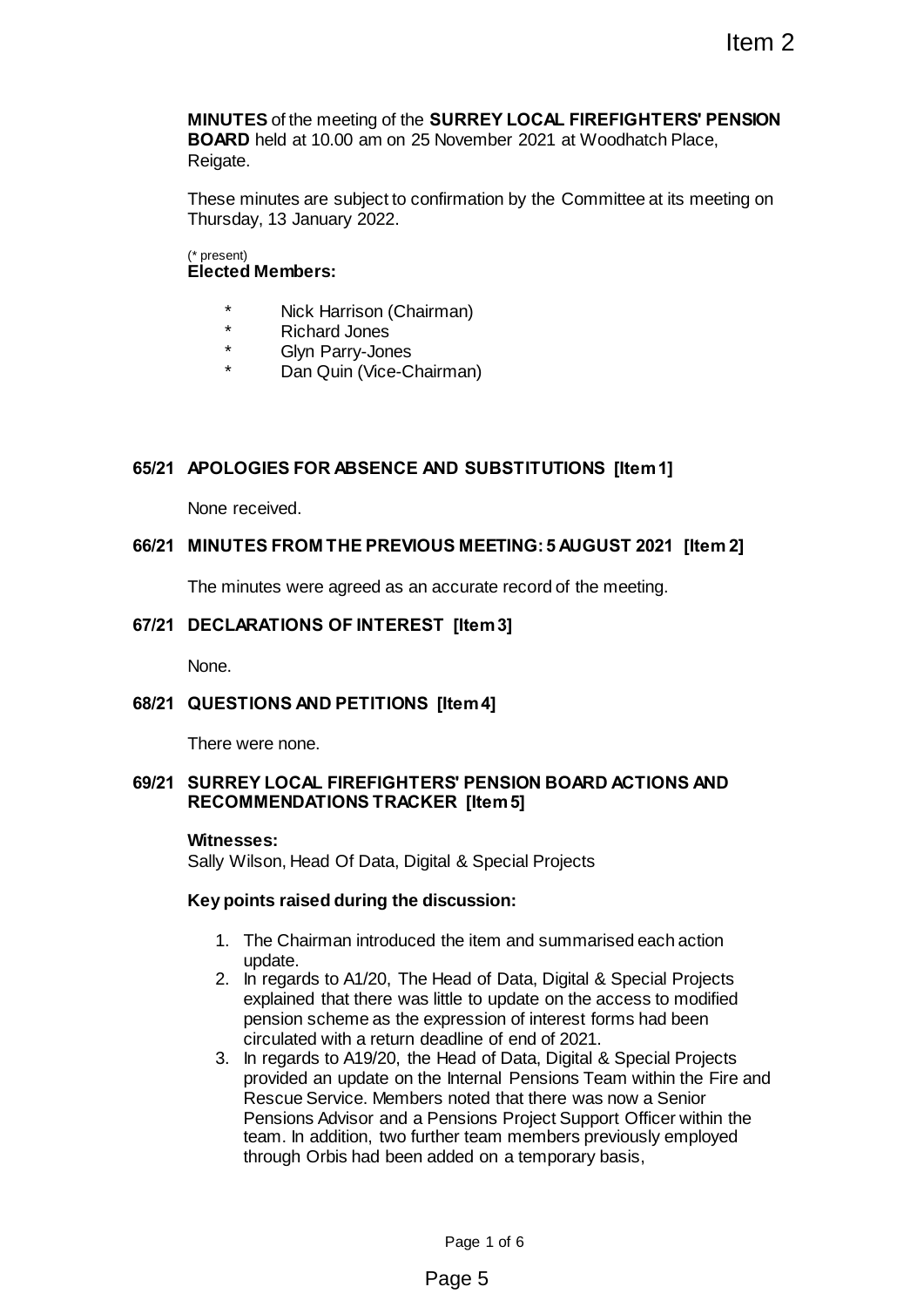**MINUTES** of the meeting of the **SURREY LOCAL FIREFIGHTERS' PENSION BOARD** held at 10.00 am on 25 November 2021 at Woodhatch Place, Reigate.

These minutes are subject to confirmation by the Committee at its meeting on Thursday, 13 January 2022.

#### (\* present) **Elected Members:**

- \* Nick Harrison (Chairman)
- \* Richard Jones
- Glyn Parry-Jones
- Dan Quin (Vice-Chairman)

## **65/21 APOLOGIES FOR ABSENCE AND SUBSTITUTIONS [Item 1]**

None received.

## **66/21 MINUTES FROM THE PREVIOUS MEETING: 5 AUGUST 2021 [Item 2]**

The minutes were agreed as an accurate record of the meeting.

## **67/21 DECLARATIONS OF INTEREST [Item 3]**

None.

## **68/21 QUESTIONS AND PETITIONS [Item 4]**

There were none.

## **69/21 SURREY LOCAL FIREFIGHTERS' PENSION BOARD ACTIONS AND RECOMMENDATIONS TRACKER [Item 5]**

#### **Witnesses:**

Sally Wilson, Head Of Data, Digital & Special Projects

#### **Key points raised during the discussion:**

- 1. The Chairman introduced the item and summarised each action update.
- 2. In regards to A1/20, The Head of Data, Digital & Special Projects explained that there was little to update on the access to modified pension scheme as the expression of interest forms had been circulated with a return deadline of end of 2021.
- 3. In regards to A19/20, the Head of Data, Digital & Special Projects provided an update on the Internal Pensions Team within the Fire and Rescue Service. Members noted that there was now a Senior Pensions Advisor and a Pensions Project Support Officer within the team. In addition, two further team members previously employed through Orbis had been added on a temporary basis, Item 2<br>
SURREY LOCAL FIREFIGHTERS' PENSION<br>
Showember 2021 at Woodhatch Place,<br>
enfirmation by the Committee at its meeting on<br>
imman)<br>
imman)<br>
airman)<br>
airman)<br>
AND SUBSTITUTIONS [Item 1]<br>
AND SUBSTITUTIONS [Item 1]<br>
accu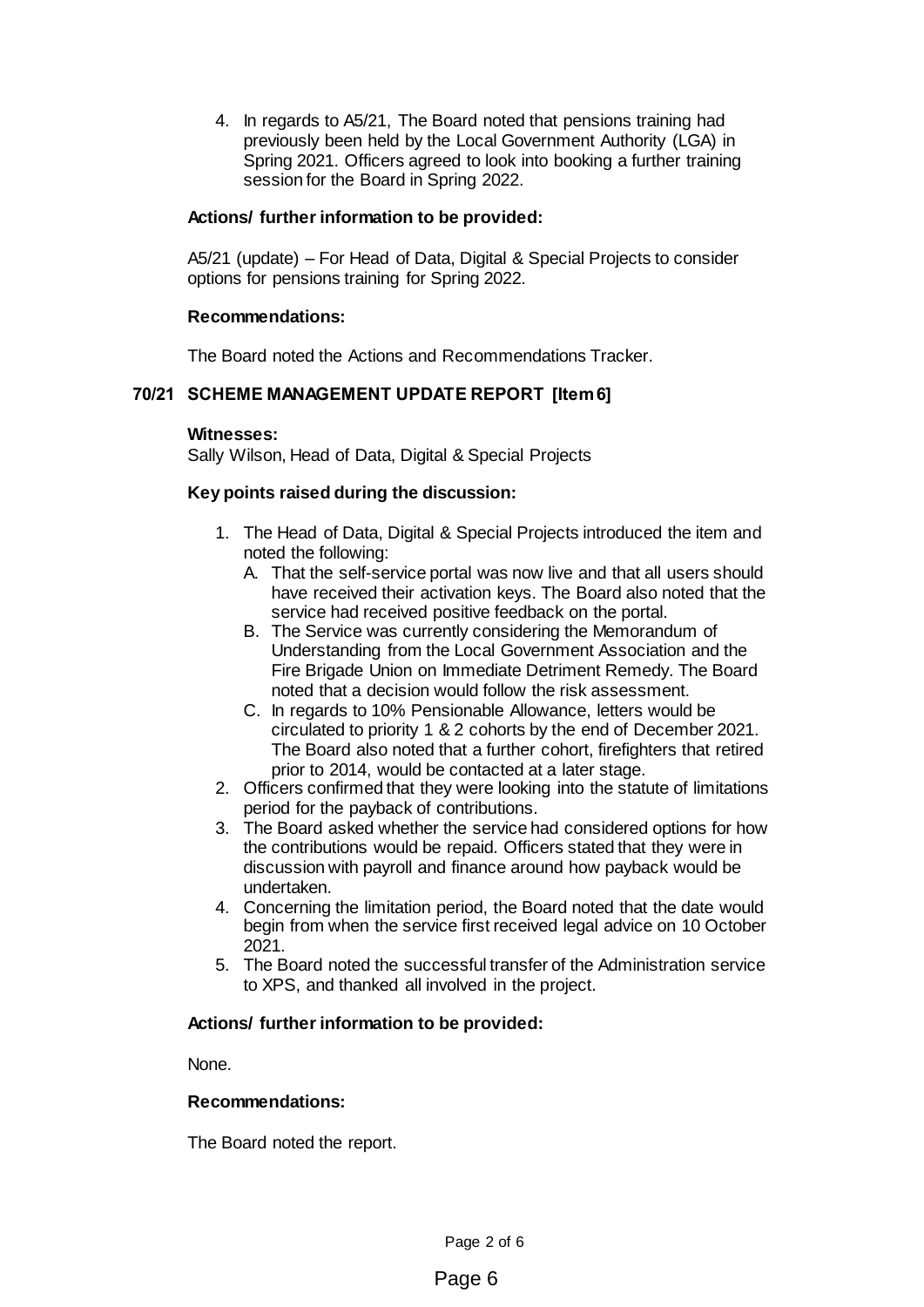4. In regards to A5/21, The Board noted that pensions training had previously been held by the Local Government Authority (LGA) in Spring 2021. Officers agreed to look into booking a further training session for the Board in Spring 2022.

## **Actions/ further information to be provided:**

A5/21 (update) – For Head of Data, Digital & Special Projects to consider options for pensions training for Spring 2022.

# **Recommendations:**

The Board noted the Actions and Recommendations Tracker.

# **70/21 SCHEME MANAGEMENT UPDATE REPORT [Item 6]**

#### **Witnesses:**

Sally Wilson, Head of Data, Digital & Special Projects

# **Key points raised during the discussion:**

- 1. The Head of Data, Digital & Special Projects introduced the item and noted the following:
	- A. That the self-service portal was now live and that all users should have received their activation keys. The Board also noted that the service had received positive feedback on the portal.
	- B. The Service was currently considering the Memorandum of Understanding from the Local Government Association and the Fire Brigade Union on Immediate Detriment Remedy. The Board noted that a decision would follow the risk assessment.
	- C. In regards to 10% Pensionable Allowance, letters would be circulated to priority 1 & 2 cohorts by the end of December 2021. The Board also noted that a further cohort, firefighters that retired prior to 2014, would be contacted at a later stage.
- 2. Officers confirmed that they were looking into the statute of limitations period for the payback of contributions.
- 3. The Board asked whether the service had considered options for how the contributions would be repaid. Officers stated that they were in discussion with payroll and finance around how payback would be undertaken.
- 4. Concerning the limitation period, the Board noted that the date would begin from when the service first received legal advice on 10 October 2021.
- 5. The Board noted the successful transfer of the Administration service to XPS, and thanked all involved in the project.

## **Actions/ further information to be provided:**

None.

## **Recommendations:**

The Board noted the report.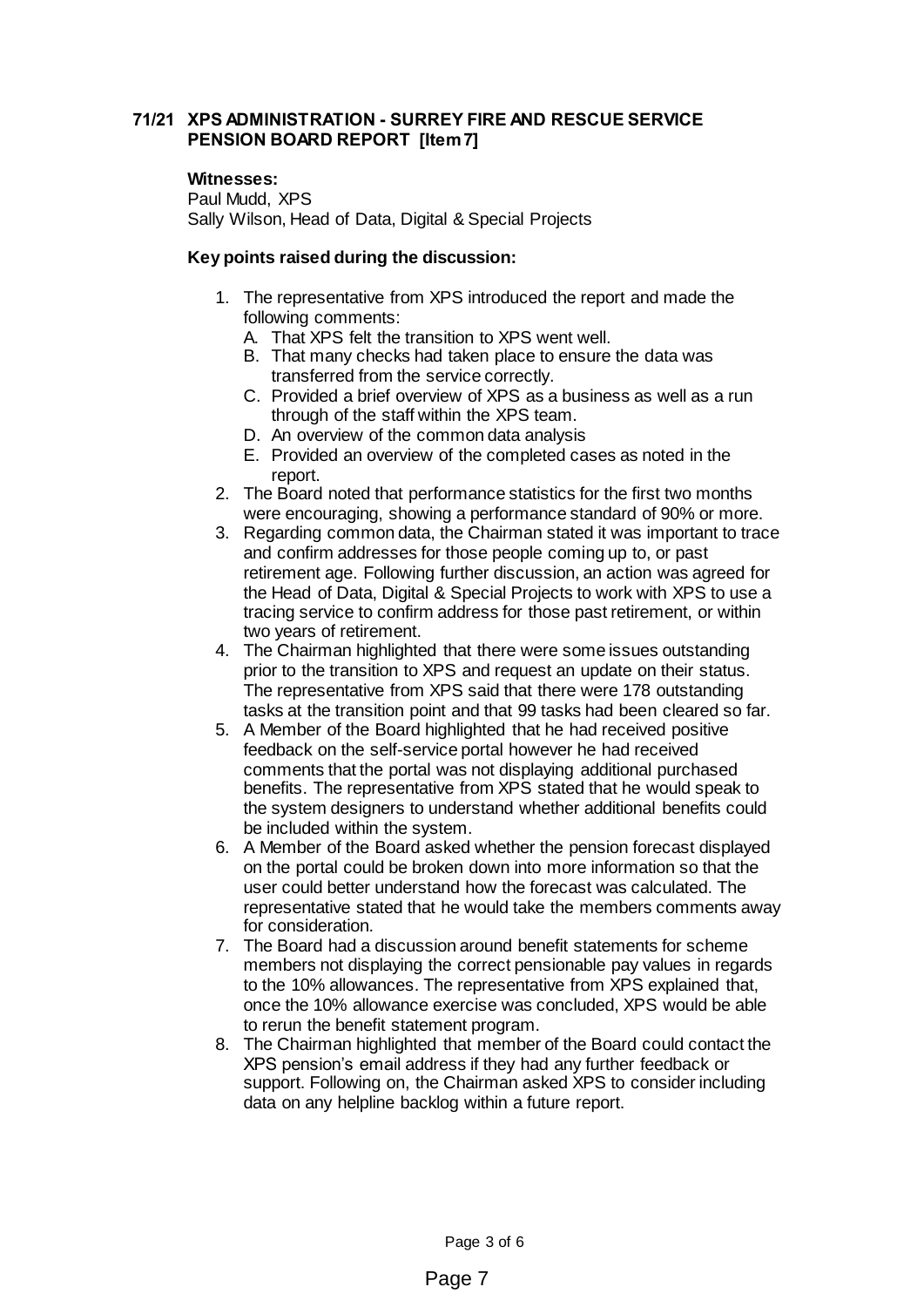# **71/21 XPS ADMINISTRATION - SURREY FIRE AND RESCUE SERVICE PENSION BOARD REPORT [Item 7]**

#### **Witnesses:**

Paul Mudd, XPS Sally Wilson, Head of Data, Digital & Special Projects

## **Key points raised during the discussion:**

- 1. The representative from XPS introduced the report and made the following comments:
	- A. That XPS felt the transition to XPS went well.
	- B. That many checks had taken place to ensure the data was transferred from the service correctly.
	- C. Provided a brief overview of XPS as a business as well as a run through of the staff within the XPS team.
	- D. An overview of the common data analysis
	- E. Provided an overview of the completed cases as noted in the report.
- 2. The Board noted that performance statistics for the first two months were encouraging, showing a performance standard of 90% or more.
- 3. Regarding common data, the Chairman stated it was important to trace and confirm addresses for those people coming up to, or past retirement age. Following further discussion, an action was agreed for the Head of Data, Digital & Special Projects to work with XPS to use a tracing service to confirm address for those past retirement, or within two years of retirement.
- 4. The Chairman highlighted that there were some issues outstanding prior to the transition to XPS and request an update on their status. The representative from XPS said that there were 178 outstanding tasks at the transition point and that 99 tasks had been cleared so far.
- 5. A Member of the Board highlighted that he had received positive feedback on the self-service portal however he had received comments that the portal was not displaying additional purchased benefits. The representative from XPS stated that he would speak to the system designers to understand whether additional benefits could be included within the system.
- 6. A Member of the Board asked whether the pension forecast displayed on the portal could be broken down into more information so that the user could better understand how the forecast was calculated. The representative stated that he would take the members comments away for consideration.
- 7. The Board had a discussion around benefit statements for scheme members not displaying the correct pensionable pay values in regards to the 10% allowances. The representative from XPS explained that, once the 10% allowance exercise was concluded, XPS would be able to rerun the benefit statement program.
- 8. The Chairman highlighted that member of the Board could contact the XPS pension's email address if they had any further feedback or support. Following on, the Chairman asked XPS to consider including data on any helpline backlog within a future report.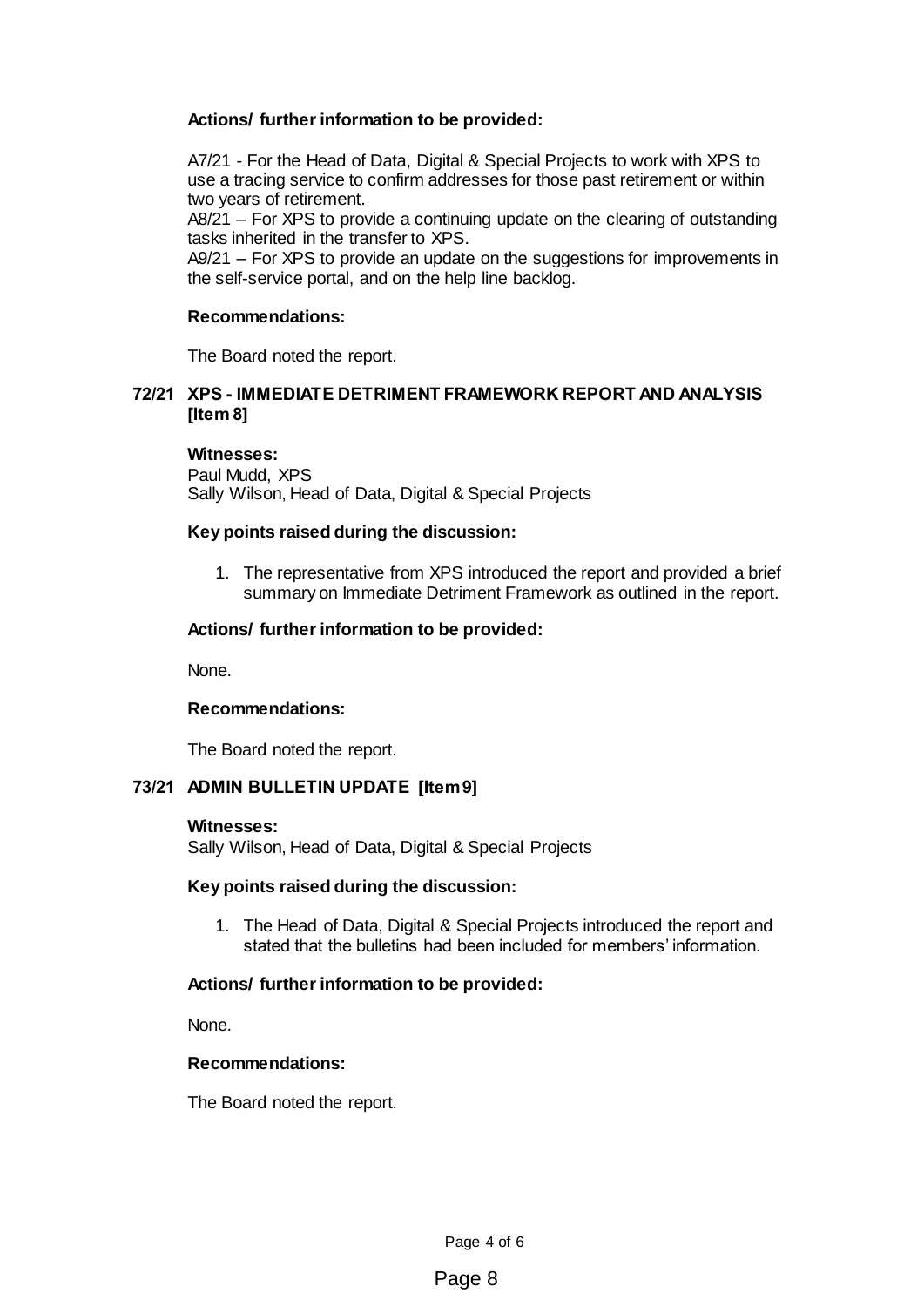# **Actions/ further information to be provided:**

A7/21 - For the Head of Data, Digital & Special Projects to work with XPS to use a tracing service to confirm addresses for those past retirement or within two years of retirement.

A8/21 – For XPS to provide a continuing update on the clearing of outstanding tasks inherited in the transfer to XPS.

A9/21 – For XPS to provide an update on the suggestions for improvements in the self-service portal, and on the help line backlog.

## **Recommendations:**

The Board noted the report.

## **72/21 XPS - IMMEDIATE DETRIMENT FRAMEWORK REPORT AND ANALYSIS [Item 8]**

#### **Witnesses:**

Paul Mudd, XPS Sally Wilson, Head of Data, Digital & Special Projects

## **Key points raised during the discussion:**

1. The representative from XPS introduced the report and provided a brief summary on Immediate Detriment Framework as outlined in the report.

## **Actions/ further information to be provided:**

None.

## **Recommendations:**

The Board noted the report.

# **73/21 ADMIN BULLETIN UPDATE [Item 9]**

#### **Witnesses:**

Sally Wilson, Head of Data, Digital & Special Projects

## **Key points raised during the discussion:**

1. The Head of Data, Digital & Special Projects introduced the report and stated that the bulletins had been included for members' information.

## **Actions/ further information to be provided:**

None.

#### **Recommendations:**

The Board noted the report.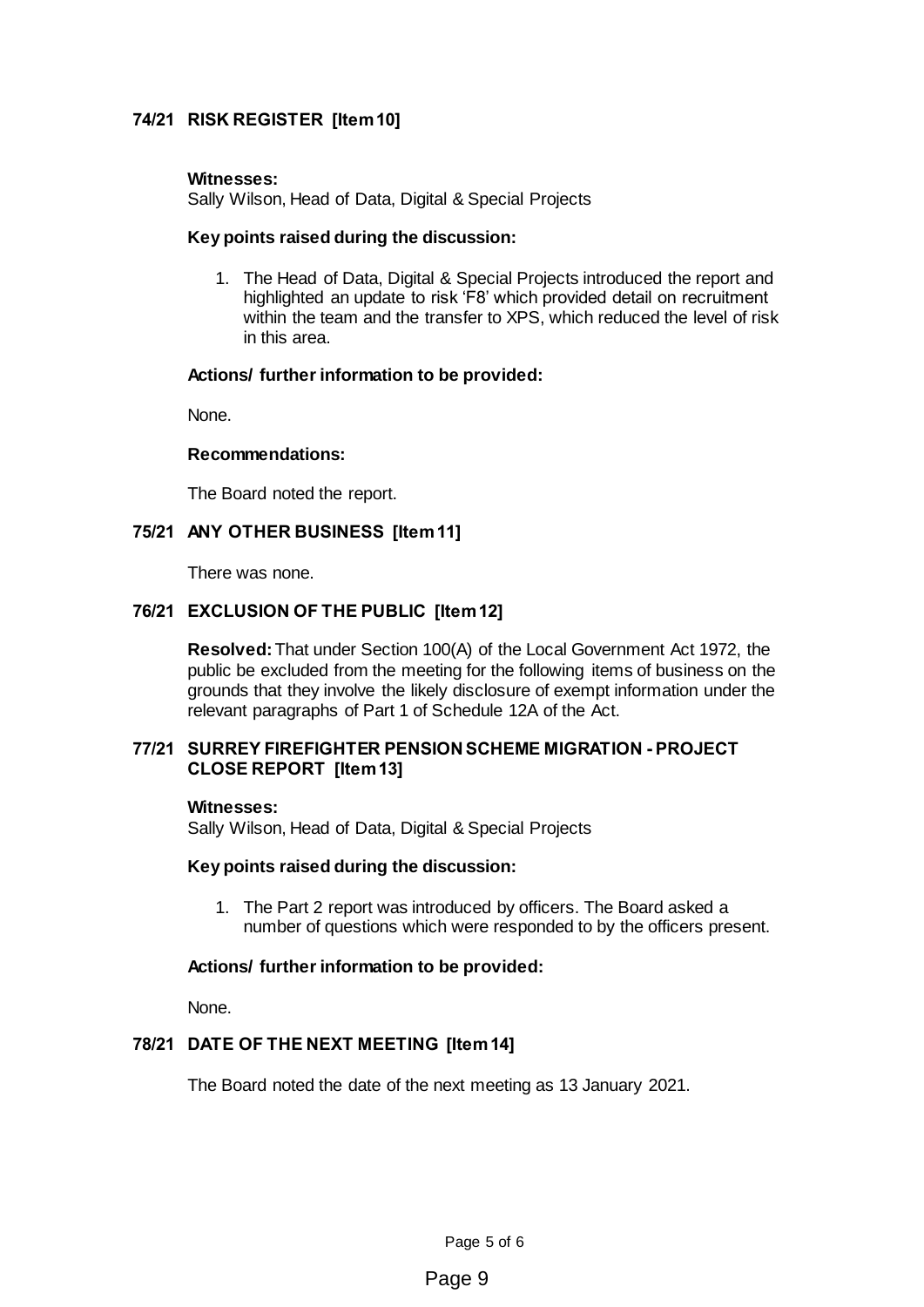# **74/21 RISK REGISTER [Item 10]**

#### **Witnesses:**

Sally Wilson, Head of Data, Digital & Special Projects

#### **Key points raised during the discussion:**

1. The Head of Data, Digital & Special Projects introduced the report and highlighted an update to risk 'F8' which provided detail on recruitment within the team and the transfer to XPS, which reduced the level of risk in this area.

#### **Actions/ further information to be provided:**

None.

#### **Recommendations:**

The Board noted the report.

## **75/21 ANY OTHER BUSINESS [Item 11]**

There was none.

## **76/21 EXCLUSION OF THE PUBLIC [Item 12]**

**Resolved:**That under Section 100(A) of the Local Government Act 1972, the public be excluded from the meeting for the following items of business on the grounds that they involve the likely disclosure of exempt information under the relevant paragraphs of Part 1 of Schedule 12A of the Act.

#### **77/21 SURREY FIREFIGHTER PENSION SCHEME MIGRATION - PROJECT CLOSE REPORT [Item 13]**

#### **Witnesses:**

Sally Wilson, Head of Data, Digital & Special Projects

#### **Key points raised during the discussion:**

1. The Part 2 report was introduced by officers. The Board asked a number of questions which were responded to by the officers present.

## **Actions/ further information to be provided:**

None.

## **78/21 DATE OF THE NEXT MEETING [Item 14]**

The Board noted the date of the next meeting as 13 January 2021.